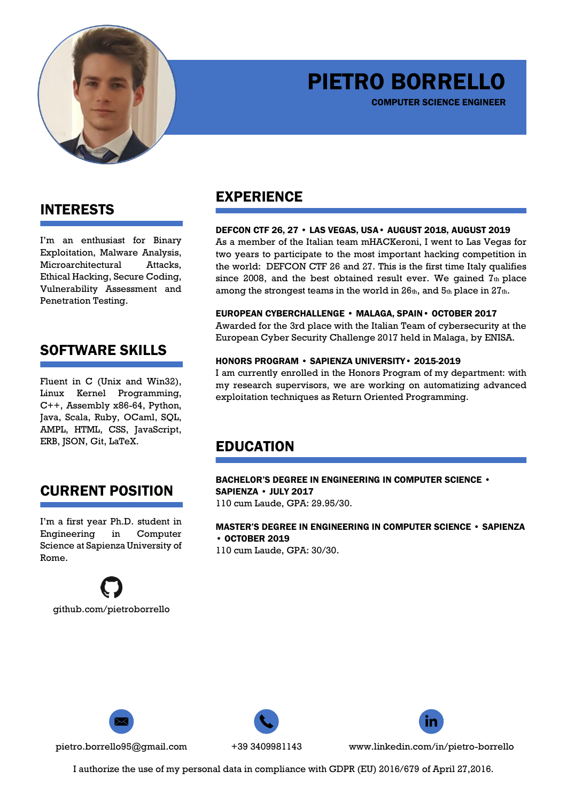

# PIETRO BORRELLO

COMPUTER SCIENCE ENGINEER

### INTERESTS

I'm an enthusiast for Binary Exploitation, Malware Analysis, Microarchitectural Attacks, Ethical Hacking, Secure Coding, Vulnerability Assessment and Penetration Testing.

## SOFTWARE SKILLS

Fluent in C (Unix and Win32), Linux Kernel Programming, C++, Assembly x86-64, Python, Java, Scala, Ruby, OCaml, SQL, AMPL, HTML, CSS, JavaScript, ERB, JSON, Git, LaTeX.

# CURRENT POSITION

I'm a first year Ph.D. student in Engineering in Computer Science at Sapienza University of Rome.



### EXPERIENCE

### DEFCON CTF 26, 27 • LAS VEGAS, USA• AUGUST 2018, AUGUST 2019

As a member of the Italian team mHACKeroni, I went to Las Vegas for two years to participate to the most important hacking competition in the world: DEFCON CTF 26 and 27. This is the first time Italy qualifies since 2008, and the best obtained result ever. We gained  $T_{th}$  place among the strongest teams in the world in 26th, and 5th place in 27th.

### EUROPEAN CYBERCHALLENGE • MALAGA, SPAIN• OCTOBER 2017

Awarded for the 3rd place with the Italian Team of cybersecurity at the European Cyber Security Challenge 2017 held in Malaga, by ENISA.

### HONORS PROGRAM • SAPIENZA UNIVERSITY• 2015-2019

I am currently enrolled in the Honors Program of my department: with my research supervisors, we are working on automatizing advanced exploitation techniques as Return Oriented Programming.

### EDUCATION

BACHELOR'S DEGREE IN ENGINEERING IN COMPUTER SCIENCE • SAPIENZA • JULY 2017 110 cum Laude, GPA: 29.95/30.

MASTER'S DEGREE IN ENGINEERING IN COMPUTER SCIENCE • SAPIENZA • OCTOBER 2019

110 cum Laude, GPA: 30/30.





pietro.borrello95@gmail.com +39 3409981143 www.linkedin.com/in/pietro-borrello

I authorize the use of my personal data in compliance with GDPR (EU) 2016/679 of April 27,2016.